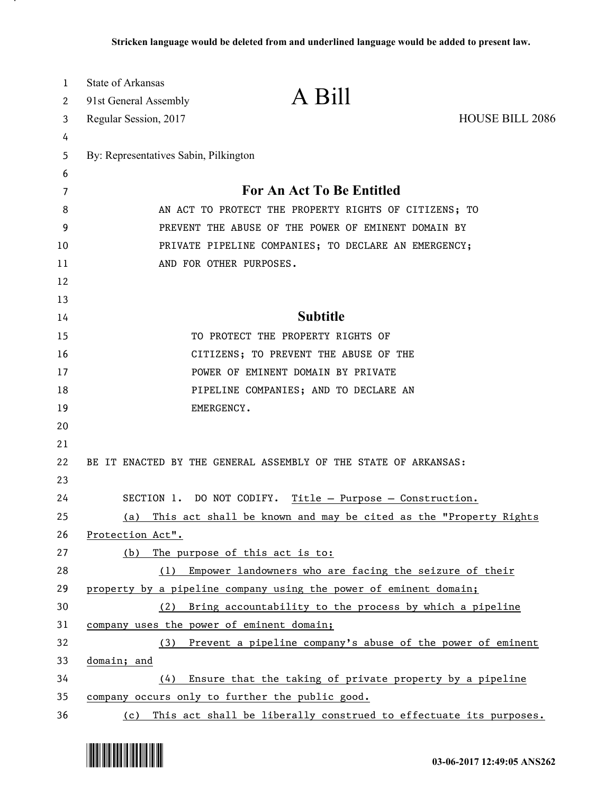| 1  | <b>State of Arkansas</b>              |                                                                       |                 |
|----|---------------------------------------|-----------------------------------------------------------------------|-----------------|
| 2  | 91st General Assembly                 | A Bill                                                                |                 |
| 3  | Regular Session, 2017                 |                                                                       | HOUSE BILL 2086 |
| 4  |                                       |                                                                       |                 |
| 5  | By: Representatives Sabin, Pilkington |                                                                       |                 |
| 6  |                                       |                                                                       |                 |
| 7  |                                       | <b>For An Act To Be Entitled</b>                                      |                 |
| 8  |                                       | AN ACT TO PROTECT THE PROPERTY RIGHTS OF CITIZENS; TO                 |                 |
| 9  |                                       | PREVENT THE ABUSE OF THE POWER OF EMINENT DOMAIN BY                   |                 |
| 10 |                                       | PRIVATE PIPELINE COMPANIES; TO DECLARE AN EMERGENCY;                  |                 |
| 11 |                                       | AND FOR OTHER PURPOSES.                                               |                 |
| 12 |                                       |                                                                       |                 |
| 13 |                                       |                                                                       |                 |
| 14 |                                       | <b>Subtitle</b>                                                       |                 |
| 15 |                                       | TO PROTECT THE PROPERTY RIGHTS OF                                     |                 |
| 16 |                                       | CITIZENS; TO PREVENT THE ABUSE OF THE                                 |                 |
| 17 |                                       | POWER OF EMINENT DOMAIN BY PRIVATE                                    |                 |
| 18 |                                       | PIPELINE COMPANIES; AND TO DECLARE AN                                 |                 |
| 19 |                                       | EMERGENCY.                                                            |                 |
| 20 |                                       |                                                                       |                 |
| 21 |                                       |                                                                       |                 |
| 22 |                                       | BE IT ENACTED BY THE GENERAL ASSEMBLY OF THE STATE OF ARKANSAS:       |                 |
| 23 |                                       |                                                                       |                 |
| 24 |                                       | SECTION 1. DO NOT CODIFY. Title - Purpose - Construction.             |                 |
| 25 | <u>(a)</u>                            | This act shall be known and may be cited as the "Property Rights"     |                 |
| 26 | Protection Act".                      |                                                                       |                 |
| 27 | (b)                                   | The purpose of this act is to:                                        |                 |
| 28 |                                       | (1) Empower landowners who are facing the seizure of their            |                 |
| 29 |                                       | property by a pipeline company using the power of eminent domain;     |                 |
| 30 |                                       | (2) Bring accountability to the process by which a pipeline           |                 |
| 31 |                                       | company uses the power of eminent domain;                             |                 |
| 32 |                                       | (3) Prevent a pipeline company's abuse of the power of eminent        |                 |
| 33 | domain; and                           |                                                                       |                 |
| 34 |                                       | (4) Ensure that the taking of private property by a pipeline          |                 |
| 35 |                                       | company occurs only to further the public good.                       |                 |
| 36 |                                       | (c) This act shall be liberally construed to effectuate its purposes. |                 |



.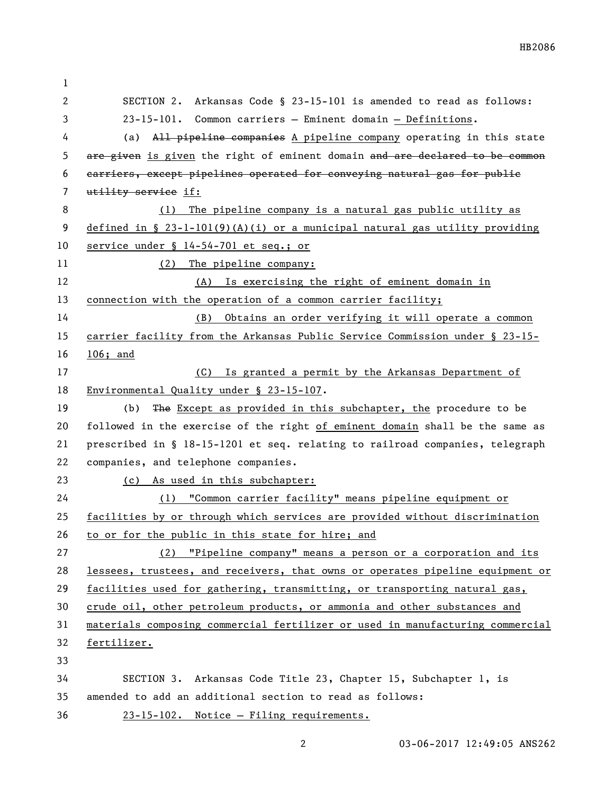| 1  |                                                                               |
|----|-------------------------------------------------------------------------------|
| 2  | SECTION 2. Arkansas Code § 23-15-101 is amended to read as follows:           |
| 3  | 23-15-101. Common carriers - Eminent domain - Definitions.                    |
| 4  | All pipeline companies A pipeline company operating in this state<br>(a)      |
| 5  | are given is given the right of eminent domain and are declared to be common  |
| 6  | carriers, except pipelines operated for conveying natural gas for public      |
| 7  | utility service if:                                                           |
| 8  | The pipeline company is a natural gas public utility as<br>(1)                |
| 9  | defined in § $23-l-101(9)(A)(i)$ or a municipal natural gas utility providing |
| 10 | service under § 14-54-701 et seq.; or                                         |
| 11 | The pipeline company:<br>(2)                                                  |
| 12 | Is exercising the right of eminent domain in<br>(A)                           |
| 13 | connection with the operation of a common carrier facility;                   |
| 14 | Obtains an order verifying it will operate a common<br>(B)                    |
| 15 | carrier facility from the Arkansas Public Service Commission under § 23-15-   |
| 16 | $106;$ and                                                                    |
| 17 | (C) Is granted a permit by the Arkansas Department of                         |
| 18 | Environmental Quality under § 23-15-107.                                      |
| 19 | The Except as provided in this subchapter, the procedure to be<br>(b)         |
| 20 | followed in the exercise of the right of eminent domain shall be the same as  |
| 21 | prescribed in § 18-15-1201 et seq. relating to railroad companies, telegraph  |
| 22 | companies, and telephone companies.                                           |
| 23 | (c) As used in this subchapter:                                               |
| 24 | (1) "Common carrier facility" means pipeline equipment or                     |
| 25 | facilities by or through which services are provided without discrimination   |
| 26 | to or for the public in this state for hire; and                              |
| 27 | (2) "Pipeline company" means a person or a corporation and its                |
| 28 | lessees, trustees, and receivers, that owns or operates pipeline equipment or |
| 29 | facilities used for gathering, transmitting, or transporting natural gas,     |
| 30 | crude oil, other petroleum products, or ammonia and other substances and      |
| 31 | materials composing commercial fertilizer or used in manufacturing commercial |
| 32 | fertilizer.                                                                   |
| 33 |                                                                               |
| 34 | SECTION 3. Arkansas Code Title 23, Chapter 15, Subchapter 1, is               |
| 35 | amended to add an additional section to read as follows:                      |
| 36 | 23-15-102. Notice - Filing requirements.                                      |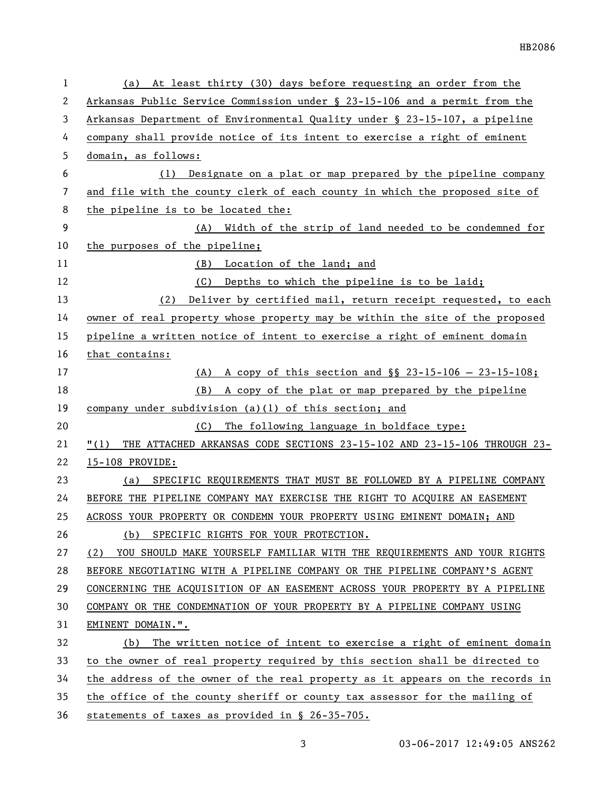| 1  | (a) At least thirty (30) days before requesting an order from the                   |
|----|-------------------------------------------------------------------------------------|
| 2  | Arkansas Public Service Commission under § 23-15-106 and a permit from the          |
| 3  | Arkansas Department of Environmental Quality under § 23-15-107, a pipeline          |
| 4  | company shall provide notice of its intent to exercise a right of eminent           |
| 5  | domain, as follows:                                                                 |
| 6  | (1) Designate on a plat or map prepared by the pipeline company                     |
| 7  | and file with the county clerk of each county in which the proposed site of         |
| 8  | the pipeline is to be located the:                                                  |
| 9  | (A) Width of the strip of land needed to be condemned for                           |
| 10 | the purposes of the pipeline;                                                       |
| 11 | (B) Location of the land; and                                                       |
| 12 | (C) Depths to which the pipeline is to be laid;                                     |
| 13 | Deliver by certified mail, return receipt requested, to each<br>(2)                 |
| 14 | <u>owner of real property whose property may be within the site of the proposed</u> |
| 15 | pipeline a written notice of intent to exercise a right of eminent domain           |
| 16 | that contains:                                                                      |
| 17 | (A) A copy of this section and $\S$ 23-15-106 - 23-15-108;                          |
| 18 | A copy of the plat or map prepared by the pipeline<br>(B)                           |
| 19 | company under subdivision (a)(1) of this section; and                               |
| 20 | The following language in boldface type:<br>(C)                                     |
| 21 | THE ATTACHED ARKANSAS CODE SECTIONS 23-15-102 AND 23-15-106 THROUGH 23-<br>"(1)     |
| 22 | 15-108 PROVIDE:                                                                     |
| 23 | SPECIFIC REQUIREMENTS THAT MUST BE FOLLOWED BY A PIPELINE COMPANY<br>(a)            |
| 24 | BEFORE THE PIPELINE COMPANY MAY EXERCISE THE RIGHT TO ACQUIRE AN EASEMENT           |
| 25 | ACROSS YOUR PROPERTY OR CONDEMN YOUR PROPERTY USING EMINENT DOMAIN; AND             |
| 26 | SPECIFIC RIGHTS FOR YOUR PROTECTION.<br>(b)                                         |
| 27 | YOU SHOULD MAKE YOURSELF FAMILIAR WITH THE REQUIREMENTS AND YOUR RIGHTS<br>(2)      |
| 28 | BEFORE NEGOTIATING WITH A PIPELINE COMPANY OR THE PIPELINE COMPANY'S AGENT          |
| 29 | CONCERNING THE ACQUISITION OF AN EASEMENT ACROSS YOUR PROPERTY BY A PIPELINE        |
| 30 | COMPANY OR THE CONDEMNATION OF YOUR PROPERTY BY A PIPELINE COMPANY USING            |
| 31 | EMINENT DOMAIN.".                                                                   |
| 32 | The written notice of intent to exercise a right of eminent domain<br>(b)           |
| 33 | to the owner of real property required by this section shall be directed to         |
| 34 | the address of the owner of the real property as it appears on the records in       |
| 35 | the office of the county sheriff or county tax assessor for the mailing of          |
| 36 | statements of taxes as provided in § 26-35-705.                                     |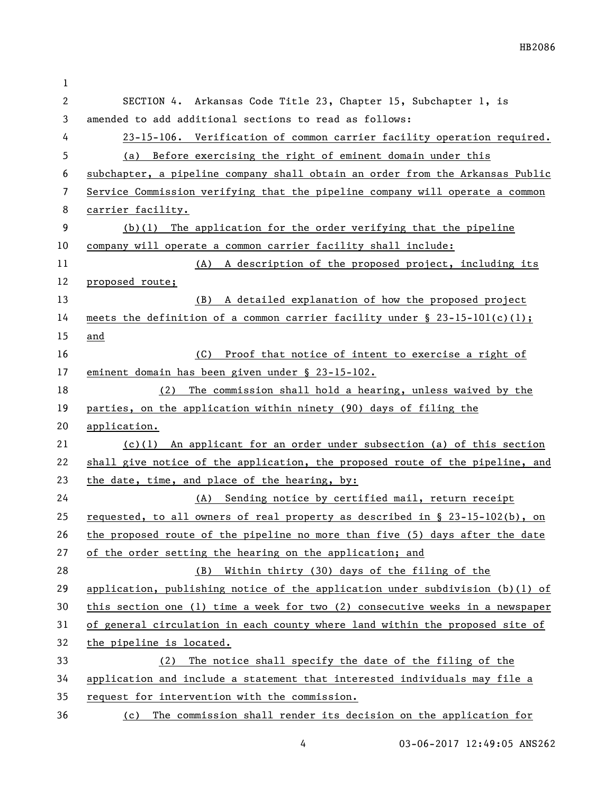| $\mathbf 1$  |                                                                                 |
|--------------|---------------------------------------------------------------------------------|
| $\mathbf{2}$ | SECTION 4. Arkansas Code Title 23, Chapter 15, Subchapter 1, is                 |
| 3            | amended to add additional sections to read as follows:                          |
| 4            | 23-15-106. Verification of common carrier facility operation required.          |
| 5            | (a) Before exercising the right of eminent domain under this                    |
| 6            | subchapter, a pipeline company shall obtain an order from the Arkansas Public   |
| 7            | Service Commission verifying that the pipeline company will operate a common    |
| 8            | carrier facility.                                                               |
| 9            | $(b)(1)$ The application for the order verifying that the pipeline              |
| 10           | company will operate a common carrier facility shall include:                   |
| 11           | (A) A description of the proposed project, including its                        |
| 12           | proposed route;                                                                 |
| 13           | (B) A detailed explanation of how the proposed project                          |
| 14           | meets the definition of a common carrier facility under $\S$ 23-15-101(c)(1);   |
| 15           | and                                                                             |
| 16           | Proof that notice of intent to exercise a right of<br>(C)                       |
| 17           | eminent domain has been given under § 23-15-102.                                |
| 18           | The commission shall hold a hearing, unless waived by the<br>(2)                |
| 19           | parties, on the application within ninety (90) days of filing the               |
| 20           | application.                                                                    |
| 21           | $(c)(1)$ An applicant for an order under subsection (a) of this section         |
| 22           | shall give notice of the application, the proposed route of the pipeline, and   |
| 23           | the date, time, and place of the hearing, by:                                   |
| 24           | (A) Sending notice by certified mail, return receipt                            |
| 25           | requested, to all owners of real property as described in $\S$ 23-15-102(b), on |
| 26           | the proposed route of the pipeline no more than five (5) days after the date    |
| 27           | of the order setting the hearing on the application; and                        |
| 28           | Within thirty (30) days of the filing of the<br>(B)                             |
| 29           | application, publishing notice of the application under subdivision $(b)(1)$ of |
| 30           | this section one (1) time a week for two (2) consecutive weeks in a newspaper   |
| 31           | of general circulation in each county where land within the proposed site of    |
| 32           | the pipeline is located.                                                        |
| 33           | The notice shall specify the date of the filing of the<br>(2)                   |
| 34           | application and include a statement that interested individuals may file a      |
| 35           | request for intervention with the commission.                                   |
| 36           | The commission shall render its decision on the application for<br>(c)          |

4 03-06-2017 12:49:05 ANS262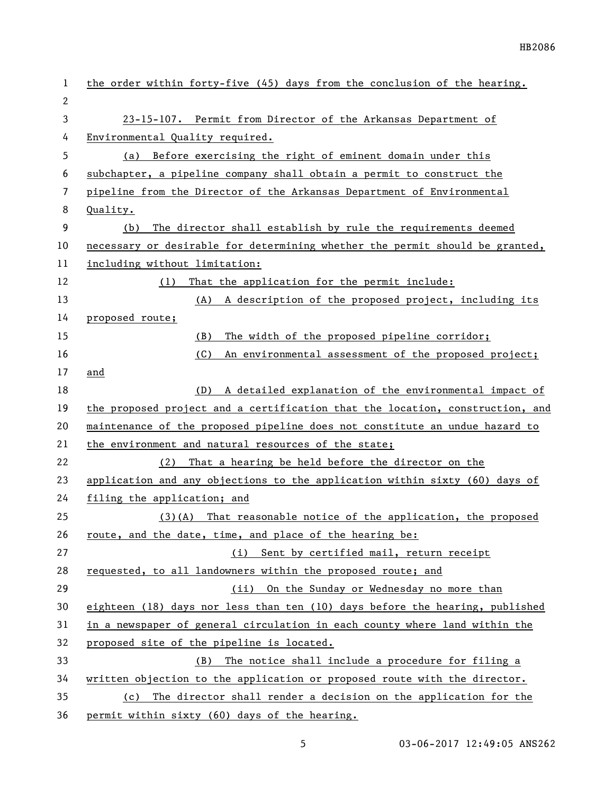| 1            | the order within forty-five (45) days from the conclusion of the hearing.     |  |
|--------------|-------------------------------------------------------------------------------|--|
| $\mathbf{2}$ |                                                                               |  |
| 3            | 23-15-107. Permit from Director of the Arkansas Department of                 |  |
| 4            | Environmental Quality required.                                               |  |
| 5            | (a) Before exercising the right of eminent domain under this                  |  |
| 6            | subchapter, a pipeline company shall obtain a permit to construct the         |  |
| 7            | pipeline from the Director of the Arkansas Department of Environmental        |  |
| 8            | Quality.                                                                      |  |
| 9            | The director shall establish by rule the requirements deemed<br>(b)           |  |
| 10           | necessary or desirable for determining whether the permit should be granted,  |  |
| 11           | including without limitation:                                                 |  |
| 12           | That the application for the permit include:<br>(1)                           |  |
| 13           | (A)<br>A description of the proposed project, including its                   |  |
| 14           | proposed route;                                                               |  |
| 15           | The width of the proposed pipeline corridor;<br>(B)                           |  |
| 16           | (C)<br>An environmental assessment of the proposed project;                   |  |
| 17           | and                                                                           |  |
| 18           | A detailed explanation of the environmental impact of<br>(D)                  |  |
| 19           | the proposed project and a certification that the location, construction, and |  |
| 20           | maintenance of the proposed pipeline does not constitute an undue hazard to   |  |
| 21           | the environment and natural resources of the state;                           |  |
| 22           | (2)<br>That a hearing be held before the director on the                      |  |
| 23           | application and any objections to the application within sixty (60) days of   |  |
| 24           | filing the application; and                                                   |  |
| 25           | $(3)(A)$ That reasonable notice of the application, the proposed              |  |
| 26           | route, and the date, time, and place of the hearing be:                       |  |
| 27           | (i) Sent by certified mail, return receipt                                    |  |
| 28           | requested, to all landowners within the proposed route; and                   |  |
| 29           | (ii) On the Sunday or Wednesday no more than                                  |  |
| 30           | eighteen (18) days nor less than ten (10) days before the hearing, published  |  |
| 31           | in a newspaper of general circulation in each county where land within the    |  |
| 32           | proposed site of the pipeline is located.                                     |  |
| 33           | The notice shall include a procedure for filing a<br>(B)                      |  |
| 34           | written objection to the application or proposed route with the director.     |  |
| 35           | The director shall render a decision on the application for the<br>(c)        |  |
| 36           | permit within sixty (60) days of the hearing.                                 |  |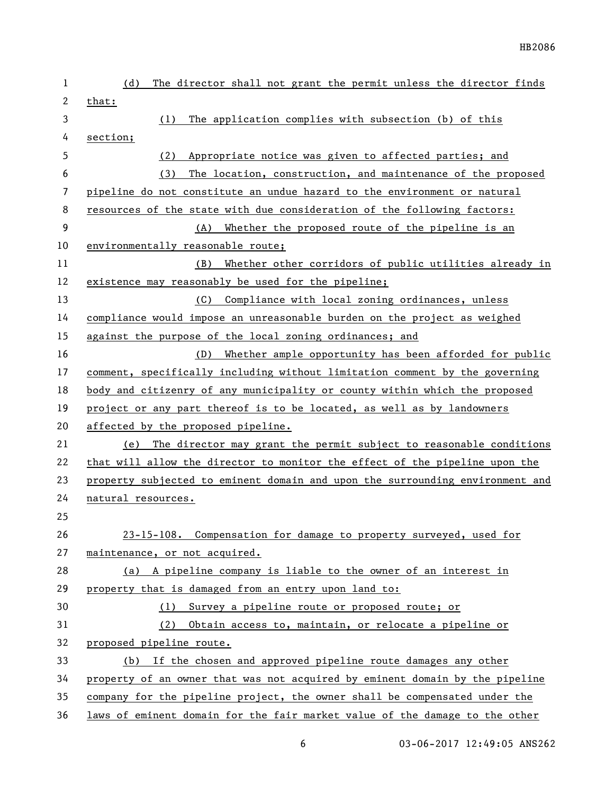| 1  | The director shall not grant the permit unless the director finds<br>(d)      |
|----|-------------------------------------------------------------------------------|
| 2  | that:                                                                         |
| 3  | The application complies with subsection (b) of this<br>(1)                   |
| 4  | section;                                                                      |
| 5  | Appropriate notice was given to affected parties; and<br>(2)                  |
| 6  | The location, construction, and maintenance of the proposed<br>(3)            |
| 7  | pipeline do not constitute an undue hazard to the environment or natural      |
| 8  | resources of the state with due consideration of the following factors:       |
| 9  | (A) Whether the proposed route of the pipeline is an                          |
| 10 | environmentally reasonable route;                                             |
| 11 | Whether other corridors of public utilities already in<br>(B)                 |
| 12 | existence may reasonably be used for the pipeline;                            |
| 13 | Compliance with local zoning ordinances, unless<br>(C)                        |
| 14 | compliance would impose an unreasonable burden on the project as weighed      |
| 15 | against the purpose of the local zoning ordinances; and                       |
| 16 | Whether ample opportunity has been afforded for public<br>(D)                 |
| 17 | comment, specifically including without limitation comment by the governing   |
| 18 | body and citizenry of any municipality or county within which the proposed    |
| 19 | project or any part thereof is to be located, as well as by landowners        |
| 20 | affected by the proposed pipeline.                                            |
| 21 | The director may grant the permit subject to reasonable conditions<br>(e)     |
| 22 | that will allow the director to monitor the effect of the pipeline upon the   |
| 23 | property subjected to eminent domain and upon the surrounding environment and |
| 24 | natural resources.                                                            |
| 25 |                                                                               |
| 26 | 23-15-108. Compensation for damage to property surveyed, used for             |
| 27 | maintenance, or not acquired.                                                 |
| 28 | (a) A pipeline company is liable to the owner of an interest in               |
| 29 | property that is damaged from an entry upon land to:                          |
| 30 | (1) Survey a pipeline route or proposed route; or                             |
| 31 | (2) Obtain access to, maintain, or relocate a pipeline or                     |
| 32 | proposed pipeline route.                                                      |
| 33 | (b) If the chosen and approved pipeline route damages any other               |
| 34 | property of an owner that was not acquired by eminent domain by the pipeline  |
| 35 | company for the pipeline project, the owner shall be compensated under the    |
| 36 | laws of eminent domain for the fair market value of the damage to the other   |

6 03-06-2017 12:49:05 ANS262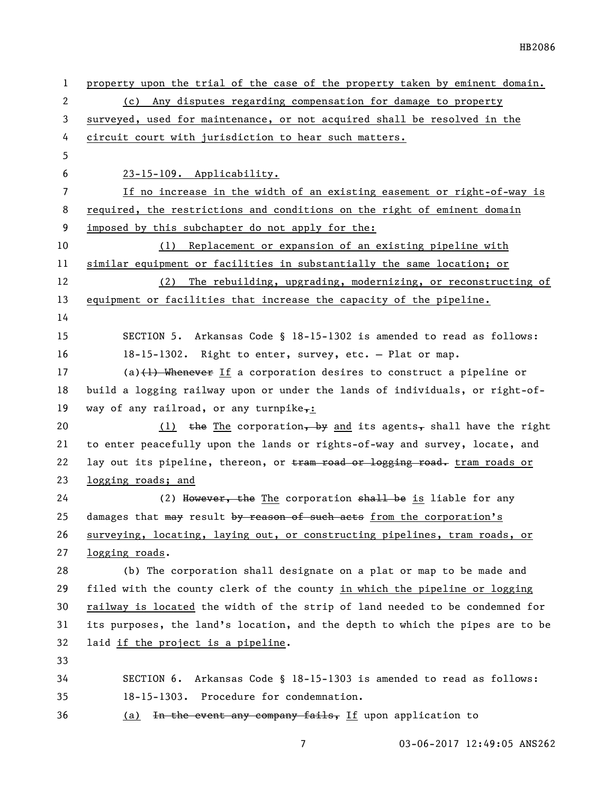| $\mathbf{1}$ | property upon the trial of the case of the property taken by eminent domain.  |  |
|--------------|-------------------------------------------------------------------------------|--|
| 2            | Any disputes regarding compensation for damage to property<br>(c)             |  |
| 3            | surveyed, used for maintenance, or not acquired shall be resolved in the      |  |
| 4            | circuit court with jurisdiction to hear such matters.                         |  |
| 5            |                                                                               |  |
| 6            | 23-15-109. Applicability.                                                     |  |
| 7            | If no increase in the width of an existing easement or right-of-way is        |  |
| 8            | required, the restrictions and conditions on the right of eminent domain      |  |
| 9            | imposed by this subchapter do not apply for the:                              |  |
| 10           | (1) Replacement or expansion of an existing pipeline with                     |  |
| 11           | similar equipment or facilities in substantially the same location; or        |  |
| 12           | (2)<br>The rebuilding, upgrading, modernizing, or reconstructing of           |  |
| 13           | equipment or facilities that increase the capacity of the pipeline.           |  |
| 14           |                                                                               |  |
| 15           | SECTION 5. Arkansas Code § 18-15-1302 is amended to read as follows:          |  |
| 16           | 18-15-1302. Right to enter, survey, etc. - Plat or map.                       |  |
| 17           | (a) $(1)$ . Whenever If a corporation desires to construct a pipeline or      |  |
| 18           | build a logging railway upon or under the lands of individuals, or right-of-  |  |
| 19           | way of any railroad, or any turnpike,:                                        |  |
| 20           | $(1)$ the The corporation, by and its agents, shall have the right            |  |
| 21           | to enter peacefully upon the lands or rights-of-way and survey, locate, and   |  |
| 22           | lay out its pipeline, thereon, or tram road or logging road. tram roads or    |  |
| 23           | logging roads; and                                                            |  |
| 24           | (2) However, the The corporation shall be is liable for any                   |  |
| 25           | damages that may result by reason of such acts from the corporation's         |  |
| 26           | surveying, locating, laying out, or constructing pipelines, tram roads, or    |  |
| 27           | logging roads.                                                                |  |
| 28           | (b) The corporation shall designate on a plat or map to be made and           |  |
| 29           | filed with the county clerk of the county in which the pipeline or logging    |  |
| 30           | railway is located the width of the strip of land needed to be condemned for  |  |
| 31           | its purposes, the land's location, and the depth to which the pipes are to be |  |
| 32           | laid if the project is a pipeline.                                            |  |
| 33           |                                                                               |  |
| 34           | SECTION 6. Arkansas Code § 18-15-1303 is amended to read as follows:          |  |
| 35           | 18-15-1303. Procedure for condemnation.                                       |  |
| 36           | In the event any company fails, If upon application to<br>(a)                 |  |